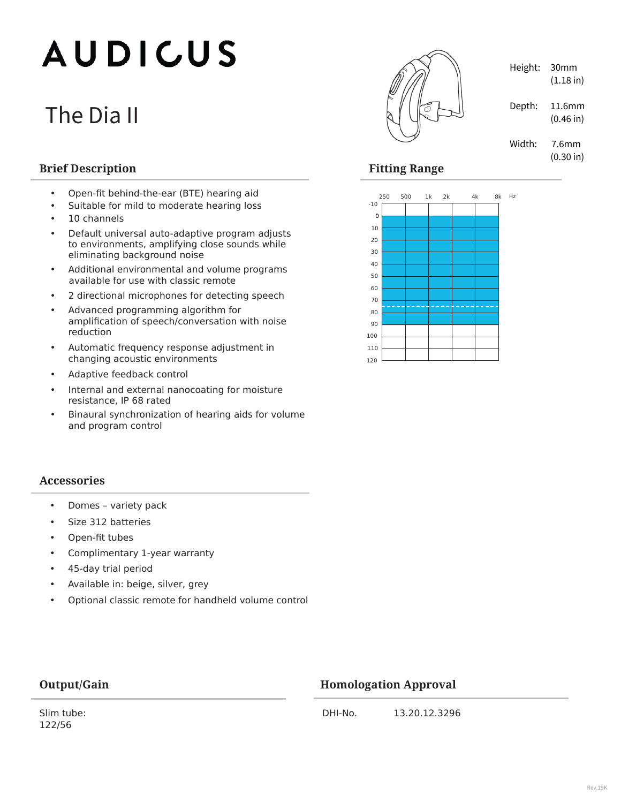# **AUDICUS**

## The Dia II

## **Brief Description Fitting Range**

- Open-fit behind-the-ear (BTE) hearing aid
- Suitable for mild to moderate hearing loss
- 10 channels
- Default universal auto-adaptive program adjusts to environments, amplifying close sounds while eliminating background noise
- Additional environmental and volume programs available for use with classic remote
- 2 directional microphones for detecting speech
- Advanced programming algorithm for amplification of speech/conversation with noise reduction
- Automatic frequency response adjustment in changing acoustic environments
- Adaptive feedback control
- Internal and external nanocoating for moisture resistance, IP 68 rated
- Binaural synchronization of hearing aids for volume and program control

#### **Accessories**

- Domes variety pack
- Size 312 batteries
- Open-fit tubes
- Complimentary 1-year warranty
- 45-day trial period
- Available in: beige, silver, grey
- Optional classic remote for handheld volume control



Height: 30mm (1.18 in)

Depth: 11.6mm

(0.46 in)

Width: 7.6mm

(0.30 in)



## **Output/Gain Homologation Approval**

DHI-No. 13.20.12.3296

Slim tube: 122/56